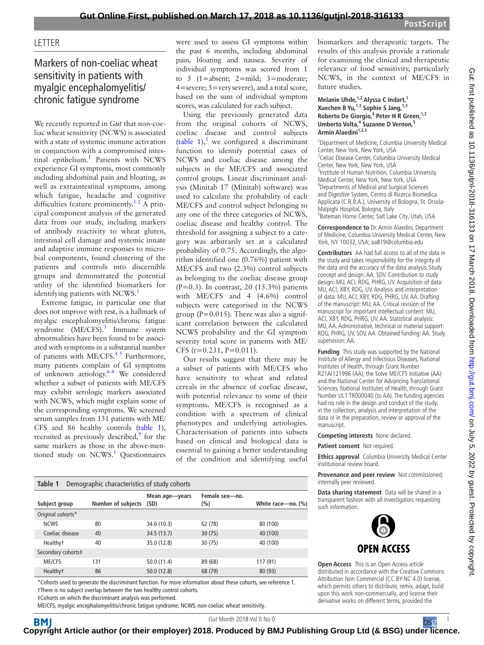## **LETTER**

## Markers of non-coeliac wheat sensitivity in patients with myalgic encephalomyelitis/ chronic fatigue syndrome

We recently reported in *Gut* that non-coeliac wheat sensitivity (NCWS) is associated with a state of systemic immune activation in conjunction with a compromised intes-tinal epithelium.<sup>[1](#page-1-0)</sup> Patients with NCWS experience GI symptoms, most commonly including abdominal pain and bloating, as well as extraintestinal symptoms, among which fatigue, headache and cognitive difficulties feature prominently.<sup>12</sup> A principal component analysis of the generated data from our study, including markers of antibody reactivity to wheat gluten, intestinal cell damage and systemic innate and adaptive immune responses to microbial components, found clustering of the patients and controls into discernible groups and demonstrated the potential utility of the identified biomarkers for identifying patients with NCWS.<sup>1</sup>

Extreme fatigue, in particular one that does not improve with rest, is a hallmark of myalgic encephalomyelitis/chronic fatigue syndrome (ME/CFS).<sup>[3](#page-1-1)</sup> Immune system abnormalities have been found to be associated with symptoms in a substantial number of patients with ME/CFS.<sup>45</sup> Furthermore, many patients complain of GI symptoms of unknown aetiology. $6-8$  We considered whether a subset of patients with ME/CFS may exhibit serologic markers associated with NCWS, which might explain some of the corresponding symptoms. We screened serum samples from 131 patients with ME/ CFS and 86 healthy controls [\(table](#page-0-0) 1), recruited as previously described, $9$  for the same markers as those in the above-men-tioned study on NCWS.<sup>[1](#page-1-0)</sup> Questionnaires

were used to assess GI symptoms within the past 6 months, including abdominal pain, bloating and nausea. Severity of individual symptoms was scored from 1 to 5 (1=absent; 2=mild; 3=moderate; 4=severe; 5=verysevere), and a total score, based on the sum of individual symptom scores, was calculated for each subject.

Using the previously generated data from the original cohorts of NCWS, coeliac disease and control subjects ([table](#page-0-0) [1](#page-1-0)),<sup>1</sup> we configured a discriminant function to identify potential cases of NCWS and coeliac disease among the subjects in the ME/CFS and associated control groups. Linear discriminant analysis (Minitab 17 (Minitab) software) was used to calculate the probability of each ME/CFS and control subject belonging to any one of the three categories of NCWS, coeliac disease and healthy control. The threshold for assigning a subject to a category was arbitrarily set at a calculated probability of 0.75. Accordingly, the algorithm identified one (0.76%) patient with ME/CFS and two (2.3%) control subjects as belonging to the coeliac disease group (P=0.3). In contrast, 20  $(15.3\%)$  patients with ME/CFS and 4 (4.6%) control subjects were categorised in the NCWS group ( $P=0.015$ ). There was also a significant correlation between the calculated NCWS probability and the GI symptom severity total score in patients with ME/ CFS  $(r=0.231, P=0.011)$ .

Our results suggest that there may be a subset of patients with ME/CFS who have sensitivity to wheat and related cereals in the absence of coeliac disease, with potential relevance to some of their symptoms. ME/CFS is recognised as a condition with a spectrum of clinical phenotypes and underlying aetiologies. Characterisation of patients into subsets based on clinical and biological data is essential to gaining a better understanding of the condition and identifying useful

biomarkers and therapeutic targets. The results of this analysis provide a rationale for examining the clinical and therapeutic relevance of food sensitivity, particularly NCWS, in the context of ME/CFS in future studies.

## **Melanie Uhde,1,2 Alyssa C Indart,1 Xuechen B Yu,1,3 Sophie S Jang,1,3 Roberto De Giorgio,<sup>4</sup> Peter H R Green,1,2** Umberto Volta,<sup>4</sup> Suzanne D Vernon,<sup>5</sup> Armin Alaedini<sup>1,2,3</sup>

<sup>1</sup> Department of Medicine, Columbia University Medical Center, New York, New York, USA <sup>2</sup> Celiac Disease Center, Columbia University Medical Center, New York, New York, USA <sup>3</sup> Institute of Human Nutrition, Columbia University Medical Center, New York, New York, USA 4 Departments of Medical and Surgical Sciences and Digestive System, Centro di Ricerca Biomedica Applicata (C.R.B.A.), University of Bologna, St. Orsola-Malpighi Hospital, Bologna, Italy 5 Bateman Horne Center, Salt Lake City, Utah, USA

**Correspondence to** Dr. Armin Alaedini, Department of Medicine, Columbia University Medical Center, New York, NY 10032, USA; aa819@columbia.edu

**Contributors** AA had full access to all of the data in the study and takes responsibility for the integrity of the data and the accuracy of the data analysis. Study concept and design: AA, SDV. Contribution to study design: MU, ACI, RDG, PHRG, UV. Acquisition of data: MU, ACI, XBY, RDG, UV. Analysis and interpretation of data: MU, ACI, XBY, RDG, PHRG, UV, AA. Drafting of the manuscript: MU, AA. Critical revision of the manuscript for important intellectual content: MU, ACI, XBY, RDG, PHRG, UV, AA. Statistical analysis: MU, AA. Administrative, technical or material support: RDG, PHRG, UV, SDV, AA. Obtained funding: AA. Study supervision: AA.

**Funding** This study was supported by the National Institute of Allergy and Infectious Diseases, National Institutes of Health, through Grant Number R21AI121996 (AA), the Solve ME/CFS Initiative (AA) and the National Center for Advancing Translational Sciences, National Institutes of Health, through Grant Number UL1 TR000040 (to AA). The funding agencies had no role in the design and conduct of the study; in the collection, analysis and interpretation of the data or in the preparation, review or approval of the manuscript.

**Competing interests** None declared.

**Patient consent** Not required.

**Ethics approval** Columbia University Medical Center institutional review board.

**Provenance and peer review** Not commissioned; internally peer reviewed.

**Data sharing statement** Data will be shared in a transparent fashion with all investigators requesting such information.



**Open Access** This is an Open Access article distributed in accordance with the Creative Commons Attribution Non Commercial (CC BY-NC 4.0) license, which permits others to distribute, remix, adapt, build upon this work non-commercially, and license their derivative works on different terms, provided the

<span id="page-0-0"></span>

| Table 1<br>Demographic characteristics of study cohorts |                           |                        |                       |                    |
|---------------------------------------------------------|---------------------------|------------------------|-----------------------|--------------------|
| Subject group                                           | <b>Number of subjects</b> | Mean age-years<br>(SD) | Female sex-no.<br>(%) | White race-no. (%) |
| Original cohorts*                                       |                           |                        |                       |                    |
| <b>NCWS</b>                                             | 80                        | 34.6 (10.3)            | 62 (78)               | 80 (100)           |
| Coeliac disease                                         | 40                        | 34.5 (13.7)            | 30(75)                | 40 (100)           |
| Healthy <sup>+</sup>                                    | 40                        | 35.0 (12.8)            | 30(75)                | 40 (100)           |
| Secondary cohorts‡                                      |                           |                        |                       |                    |
| <b>ME/CFS</b>                                           | 131                       | 50.0 (11.4)            | 89 (68)               | 117 (91)           |
| <b>Healthyt</b>                                         | 86                        | 50.0(12.8)             | 68 (79)               | 80 (93)            |

\*Cohorts used to generate the discriminant function. For more information about these cohorts, see reference [1](#page-1-0). †There is no subject overlap between the two healthy control cohorts.

‡Cohorts on which the discriminant analysis was performed.

ME/CFS, myalgic encephalomyelitis/chronic fatigue syndrome; NCWS, non-coeliac wheat sensitivity.

**BMJ C[opyrig](http://gut.bmj.com/)ht Article author (or their employer) 2018. Produced by BMJ Publishing Group Ltd (& BSG) under licence.**